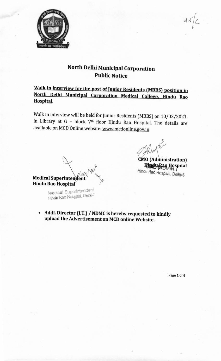

North Delhi Municipal Corporation **Public Notice** 

Walk in interview for the post of Junior Residents (MBBS) position in North Delhi Municipal Corporation Medical College, Hindu Rao **Hospital.** 

Walk in interview will be held for Junior Residents (MBBS) on 10/02/2021, in Library at G - block V<sup>th</sup> floor Hindu Rao Hospital. The details are available on MCD Online website: www.mcdonline.gov.in

myor

**CMO** (Administration) Lindu Rao Hospital Hindu Rao Hospital, Delhi-6

 $45$ 

Medical Superintendent Hindu Rao Hospital

> Medical Superintender Hinde Rao Hospital, Delhi-7

• Addl. Director (I.T.) / NDMC is hereby requested to kindly upload the Advertisement on MCD online Website.

Page 1 of 6